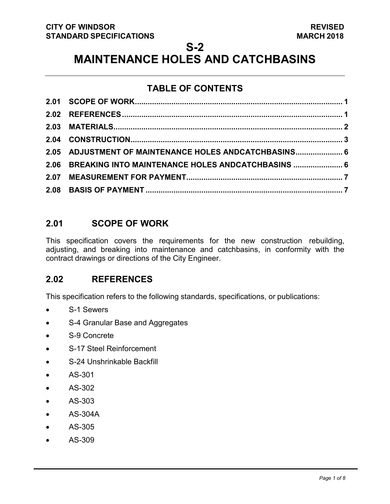### **S-2**

# **MAINTENANCE HOLES AND CATCHBASINS**

# **TABLE OF CONTENTS**

| 2.05 ADJUSTMENT OF MAINTENANCE HOLES ANDCATCHBASINS 6  |  |
|--------------------------------------------------------|--|
| 2.06 BREAKING INTO MAINTENANCE HOLES ANDCATCHBASINS  6 |  |
|                                                        |  |
|                                                        |  |

# <span id="page-0-1"></span>**2.01 SCOPE OF WORK**

This specification covers the requirements for the new construction rebuilding, adjusting, and breaking into maintenance and catchbasins, in conformity with the contract drawings or directions of the City Engineer.

# <span id="page-0-0"></span>**2.02 REFERENCES**

This specification refers to the following standards, specifications, or publications:

- S-1 Sewers
- S-4 Granular Base and Aggregates
- S-9 Concrete
- S-17 Steel Reinforcement
- S-24 Unshrinkable Backfill
- AS-301
- AS-302
- AS-303
- AS-304A
- AS-305
- AS-309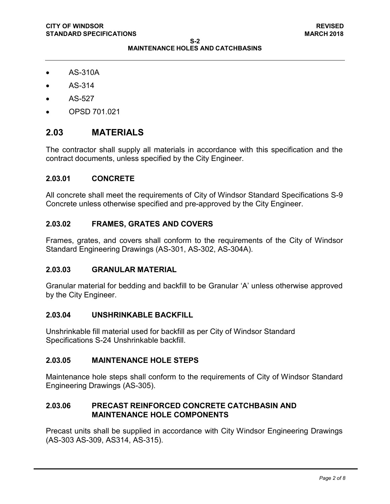- AS-310A
- AS-314
- AS-527
- OPSD 701.021

### <span id="page-1-0"></span>**2.03 MATERIALS**

The contractor shall supply all materials in accordance with this specification and the contract documents, unless specified by the City Engineer.

#### **2.03.01 CONCRETE**

All concrete shall meet the requirements of City of Windsor Standard Specifications S-9 Concrete unless otherwise specified and pre-approved by the City Engineer.

#### **2.03.02 FRAMES, GRATES AND COVERS**

Frames, grates, and covers shall conform to the requirements of the City of Windsor Standard Engineering Drawings (AS-301, AS-302, AS-304A).

#### **2.03.03 GRANULAR MATERIAL**

Granular material for bedding and backfill to be Granular 'A' unless otherwise approved by the City Engineer.

#### **2.03.04 UNSHRINKABLE BACKFILL**

Unshrinkable fill material used for backfill as per City of Windsor Standard Specifications S-24 Unshrinkable backfill.

#### **2.03.05 MAINTENANCE HOLE STEPS**

Maintenance hole steps shall conform to the requirements of City of Windsor Standard Engineering Drawings (AS-305).

#### **2.03.06 PRECAST REINFORCED CONCRETE CATCHBASIN AND MAINTENANCE HOLE COMPONENTS**

Precast units shall be supplied in accordance with City Windsor Engineering Drawings (AS-303 AS-309, AS314, AS-315).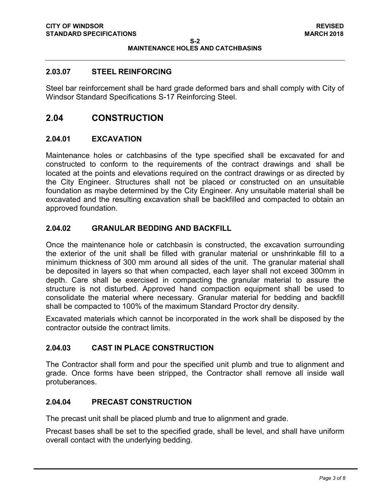#### **2.03.07 STEEL REINFORCING**

Steel bar reinforcement shall be hard grade deformed bars and shall comply with City of Windsor Standard Specifications S-17 Reinforcing Steel.

### <span id="page-2-0"></span>**2.04 CONSTRUCTION**

#### **2.04.01 EXCAVATION**

Maintenance holes or catchbasins of the type specified shall be excavated for and constructed to conform to the requirements of the contract drawings and shall be located at the points and elevations required on the contract drawings or as directed by the City Engineer. Structures shall not be placed or constructed on an unsuitable foundation as maybe determined by the City Engineer. Any unsuitable material shall be excavated and the resulting excavation shall be backfilled and compacted to obtain an approved foundation.

#### **2.04.02 GRANULAR BEDDING AND BACKFILL**

Once the maintenance hole or catchbasin is constructed, the excavation surrounding the exterior of the unit shall be filled with granular material or unshrinkable fill to a minimum thickness of 300 mm around all sides of the unit. The granular material shall be deposited in layers so that when compacted, each layer shall not exceed 300mm in depth. Care shall be exercised in compacting the granular material to assure the structure is not disturbed. Approved hand compaction equipment shall be used to consolidate the material where necessary. Granular material for bedding and backfill shall be compacted to 100% of the maximum Standard Proctor dry density.

Excavated materials which cannot be incorporated in the work shall be disposed by the contractor outside the contract limits.

#### **2.04.03 CAST IN PLACE CONSTRUCTION**

The Contractor shall form and pour the specified unit plumb and true to alignment and grade. Once forms have been stripped, the Contractor shall remove all inside wall protuberances.

#### **2.04.04 PRECAST CONSTRUCTION**

The precast unit shall be placed plumb and true to alignment and grade.

Precast bases shall be set to the specified grade, shall be level, and shall have uniform overall contact with the underlying bedding.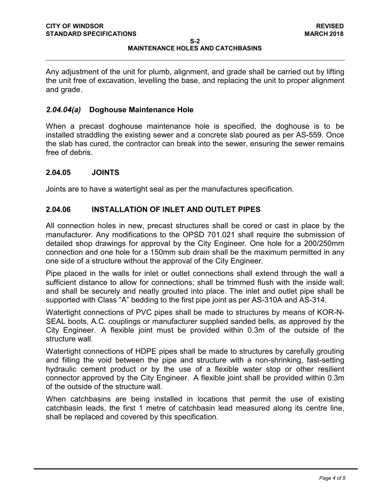#### **S-2 MAINTENANCE HOLES AND CATCHBASINS**

Any adjustment of the unit for plumb, alignment, and grade shall be carried out by lifting the unit free of excavation, levelling the base, and replacing the unit to proper alignment and grade.

#### *2.04.04(a)* **Doghouse Maintenance Hole**

When a precast doghouse maintenance hole is specified, the doghouse is to be installed straddling the existing sewer and a concrete slab poured as per AS-559. Once the slab has cured, the contractor can break into the sewer, ensuring the sewer remains free of debris.

#### **2.04.05 JOINTS**

Joints are to have a watertight seal as per the manufactures specification.

#### **2.04.06 INSTALLATION OF INLET AND OUTLET PIPES**

All connection holes in new, precast structures shall be cored or cast in place by the manufacturer. Any modifications to the OPSD 701.021 shall require the submission of detailed shop drawings for approval by the City Engineer. One hole for a 200/250mm connection and one hole for a 150mm sub drain shall be the maximum permitted in any one side of a structure without the approval of the City Engineer.

Pipe placed in the walls for inlet or outlet connections shall extend through the wall a sufficient distance to allow for connections; shall be trimmed flush with the inside wall; and shall be securely and neatly grouted into place. The inlet and outlet pipe shall be supported with Class "A" bedding to the first pipe joint as per AS-310A and AS-314.

Watertight connections of PVC pipes shall be made to structures by means of KOR-N-SEAL boots, A.C. couplings or manufacturer supplied sanded bells, as approved by the City Engineer. A flexible joint must be provided within 0.3m of the outside of the structure wall.

Watertight connections of HDPE pipes shall be made to structures by carefully grouting and filling the void between the pipe and structure with a non-shrinking, fast-setting hydraulic cement product or by the use of a flexible water stop or other resilient connector approved by the City Engineer. A flexible joint shall be provided within 0.3m of the outside of the structure wall.

When catchbasins are being installed in locations that permit the use of existing catchbasin leads, the first 1 metre of catchbasin lead measured along its centre line, shall be replaced and covered by this specification.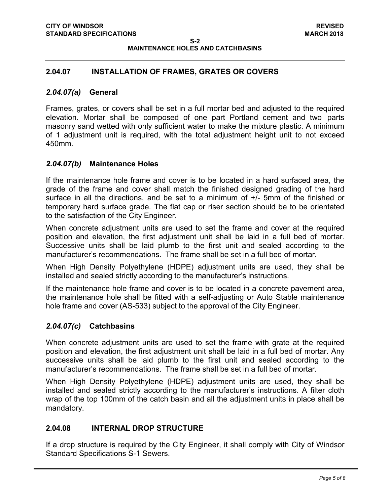**S-2 MAINTENANCE HOLES AND CATCHBASINS**

#### **2.04.07 INSTALLATION OF FRAMES, GRATES OR COVERS**

#### *2.04.07(a)* **General**

Frames, grates, or covers shall be set in a full mortar bed and adjusted to the required elevation. Mortar shall be composed of one part Portland cement and two parts masonry sand wetted with only sufficient water to make the mixture plastic. A minimum of 1 adjustment unit is required, with the total adjustment height unit to not exceed 450mm.

#### *2.04.07(b)* **Maintenance Holes**

If the maintenance hole frame and cover is to be located in a hard surfaced area, the grade of the frame and cover shall match the finished designed grading of the hard surface in all the directions, and be set to a minimum of +/- 5mm of the finished or temporary hard surface grade. The flat cap or riser section should be to be orientated to the satisfaction of the City Engineer.

When concrete adjustment units are used to set the frame and cover at the required position and elevation, the first adjustment unit shall be laid in a full bed of mortar. Successive units shall be laid plumb to the first unit and sealed according to the manufacturer's recommendations. The frame shall be set in a full bed of mortar.

When High Density Polyethylene (HDPE) adjustment units are used, they shall be installed and sealed strictly according to the manufacturer's instructions.

If the maintenance hole frame and cover is to be located in a concrete pavement area, the maintenance hole shall be fitted with a self-adjusting or Auto Stable maintenance hole frame and cover (AS-533) subject to the approval of the City Engineer.

#### *2.04.07(c)* **Catchbasins**

When concrete adjustment units are used to set the frame with grate at the required position and elevation, the first adjustment unit shall be laid in a full bed of mortar. Any successive units shall be laid plumb to the first unit and sealed according to the manufacturer's recommendations. The frame shall be set in a full bed of mortar.

When High Density Polyethylene (HDPE) adjustment units are used, they shall be installed and sealed strictly according to the manufacturer's instructions. A filter cloth wrap of the top 100mm of the catch basin and all the adjustment units in place shall be mandatory.

#### **2.04.08 INTERNAL DROP STRUCTURE**

If a drop structure is required by the City Engineer, it shall comply with City of Windsor Standard Specifications S-1 Sewers.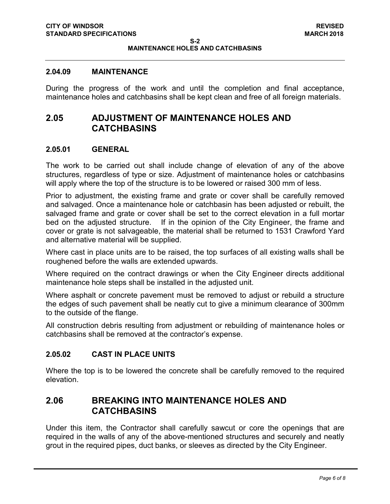#### **2.04.09 MAINTENANCE**

During the progress of the work and until the completion and final acceptance, maintenance holes and catchbasins shall be kept clean and free of all foreign materials.

## <span id="page-5-0"></span>**2.05 ADJUSTMENT OF MAINTENANCE HOLES AND CATCHBASINS**

#### **2.05.01 GENERAL**

The work to be carried out shall include change of elevation of any of the above structures, regardless of type or size. Adjustment of maintenance holes or catchbasins will apply where the top of the structure is to be lowered or raised 300 mm of less.

Prior to adjustment, the existing frame and grate or cover shall be carefully removed and salvaged. Once a maintenance hole or catchbasin has been adjusted or rebuilt, the salvaged frame and grate or cover shall be set to the correct elevation in a full mortar bed on the adjusted structure. If in the opinion of the City Engineer, the frame and cover or grate is not salvageable, the material shall be returned to 1531 Crawford Yard and alternative material will be supplied.

Where cast in place units are to be raised, the top surfaces of all existing walls shall be roughened before the walls are extended upwards.

Where required on the contract drawings or when the City Engineer directs additional maintenance hole steps shall be installed in the adjusted unit.

Where asphalt or concrete pavement must be removed to adjust or rebuild a structure the edges of such pavement shall be neatly cut to give a minimum clearance of 300mm to the outside of the flange.

All construction debris resulting from adjustment or rebuilding of maintenance holes or catchbasins shall be removed at the contractor's expense.

#### **2.05.02 CAST IN PLACE UNITS**

Where the top is to be lowered the concrete shall be carefully removed to the required elevation.

### <span id="page-5-1"></span>**2.06 BREAKING INTO MAINTENANCE HOLES AND CATCHBASINS**

Under this item, the Contractor shall carefully sawcut or core the openings that are required in the walls of any of the above-mentioned structures and securely and neatly grout in the required pipes, duct banks, or sleeves as directed by the City Engineer.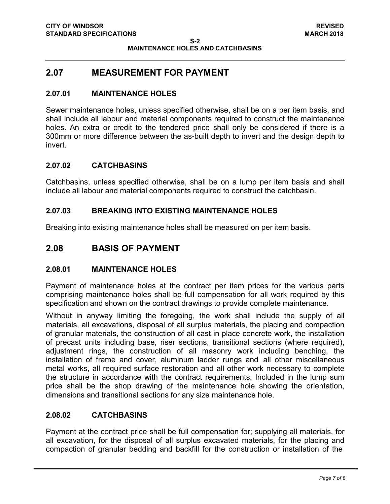## <span id="page-6-0"></span>**2.07 MEASUREMENT FOR PAYMENT**

#### **2.07.01 MAINTENANCE HOLES**

Sewer maintenance holes, unless specified otherwise, shall be on a per item basis, and shall include all labour and material components required to construct the maintenance holes. An extra or credit to the tendered price shall only be considered if there is a 300mm or more difference between the as-built depth to invert and the design depth to invert.

#### **2.07.02 CATCHBASINS**

Catchbasins, unless specified otherwise, shall be on a lump per item basis and shall include all labour and material components required to construct the catchbasin.

#### **2.07.03 BREAKING INTO EXISTING MAINTENANCE HOLES**

Breaking into existing maintenance holes shall be measured on per item basis.

### <span id="page-6-1"></span>**2.08 BASIS OF PAYMENT**

#### **2.08.01 MAINTENANCE HOLES**

Payment of maintenance holes at the contract per item prices for the various parts comprising maintenance holes shall be full compensation for all work required by this specification and shown on the contract drawings to provide complete maintenance.

Without in anyway limiting the foregoing, the work shall include the supply of all materials, all excavations, disposal of all surplus materials, the placing and compaction of granular materials, the construction of all cast in place concrete work, the installation of precast units including base, riser sections, transitional sections (where required), adjustment rings, the construction of all masonry work including benching, the installation of frame and cover, aluminum ladder rungs and all other miscellaneous metal works, all required surface restoration and all other work necessary to complete the structure in accordance with the contract requirements. Included in the lump sum price shall be the shop drawing of the maintenance hole showing the orientation, dimensions and transitional sections for any size maintenance hole.

#### **2.08.02 CATCHBASINS**

Payment at the contract price shall be full compensation for; supplying all materials, for all excavation, for the disposal of all surplus excavated materials, for the placing and compaction of granular bedding and backfill for the construction or installation of the